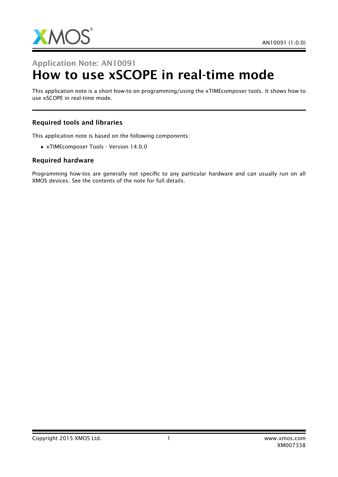

# Application Note: AN10091 How to use xSCOPE in real-time mode

This application note is a short how-to on programming/using the xTIMEcomposer tools. It shows how to use xSCOPE in real-time mode.

#### Required tools and libraries

This application note is based on the following components:

• xTIMEcomposer Tools - Version 14.0.0

#### Required hardware

Programming how-tos are generally not specific to any particular hardware and can usually run on all XMOS devices. See the contents of the note for full details.